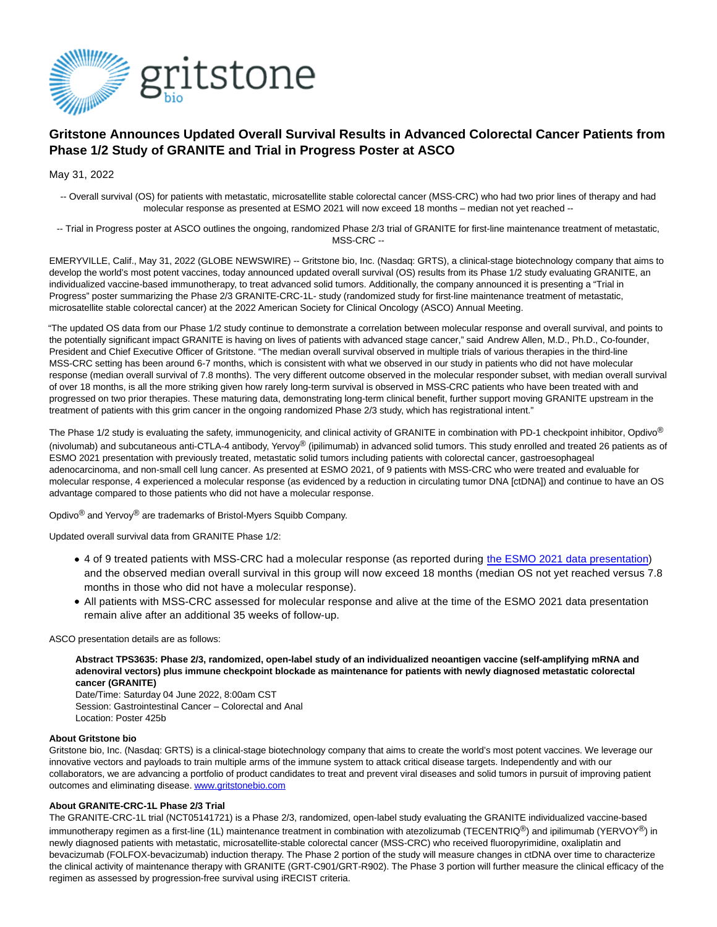

# **Gritstone Announces Updated Overall Survival Results in Advanced Colorectal Cancer Patients from Phase 1/2 Study of GRANITE and Trial in Progress Poster at ASCO**

May 31, 2022

-- Overall survival (OS) for patients with metastatic, microsatellite stable colorectal cancer (MSS-CRC) who had two prior lines of therapy and had molecular response as presented at ESMO 2021 will now exceed 18 months – median not yet reached --

-- Trial in Progress poster at ASCO outlines the ongoing, randomized Phase 2/3 trial of GRANITE for first-line maintenance treatment of metastatic, MSS-CRC --

EMERYVILLE, Calif., May 31, 2022 (GLOBE NEWSWIRE) -- Gritstone bio, Inc. (Nasdaq: GRTS), a clinical-stage biotechnology company that aims to develop the world's most potent vaccines, today announced updated overall survival (OS) results from its Phase 1/2 study evaluating GRANITE, an individualized vaccine-based immunotherapy, to treat advanced solid tumors. Additionally, the company announced it is presenting a "Trial in Progress" poster summarizing the Phase 2/3 GRANITE-CRC-1L- study (randomized study for first-line maintenance treatment of metastatic, microsatellite stable colorectal cancer) at the 2022 American Society for Clinical Oncology (ASCO) Annual Meeting.

"The updated OS data from our Phase 1/2 study continue to demonstrate a correlation between molecular response and overall survival, and points to the potentially significant impact GRANITE is having on lives of patients with advanced stage cancer," said Andrew Allen, M.D., Ph.D., Co-founder, President and Chief Executive Officer of Gritstone. "The median overall survival observed in multiple trials of various therapies in the third-line MSS-CRC setting has been around 6-7 months, which is consistent with what we observed in our study in patients who did not have molecular response (median overall survival of 7.8 months). The very different outcome observed in the molecular responder subset, with median overall survival of over 18 months, is all the more striking given how rarely long-term survival is observed in MSS-CRC patients who have been treated with and progressed on two prior therapies. These maturing data, demonstrating long-term clinical benefit, further support moving GRANITE upstream in the treatment of patients with this grim cancer in the ongoing randomized Phase 2/3 study, which has registrational intent."

The Phase 1/2 study is evaluating the safety, immunogenicity, and clinical activity of GRANITE in combination with PD-1 checkpoint inhibitor, Opdivo<sup>®</sup> (nivolumab) and subcutaneous anti-CTLA-4 antibody, Yervoy® (ipilimumab) in advanced solid tumors. This study enrolled and treated 26 patients as of ESMO 2021 presentation with previously treated, metastatic solid tumors including patients with colorectal cancer, gastroesophageal adenocarcinoma, and non-small cell lung cancer. As presented at ESMO 2021, of 9 patients with MSS-CRC who were treated and evaluable for molecular response, 4 experienced a molecular response (as evidenced by a reduction in circulating tumor DNA [ctDNA]) and continue to have an OS advantage compared to those patients who did not have a molecular response.

Opdivo® and Yervoy® are trademarks of Bristol-Myers Squibb Company.

Updated overall survival data from GRANITE Phase 1/2:

- 4 of 9 treated patients with MSS-CRC had a molecular response (as reported during [the ESMO 2021 data presentation\)](https://ir.gritstonebio.com/news-releases/news-release-details/gritstone-announces-positive-clinical-data-granite) and the observed median overall survival in this group will now exceed 18 months (median OS not yet reached versus 7.8 months in those who did not have a molecular response).
- All patients with MSS-CRC assessed for molecular response and alive at the time of the ESMO 2021 data presentation remain alive after an additional 35 weeks of follow-up.

ASCO presentation details are as follows:

**Abstract TPS3635: Phase 2/3, randomized, open-label study of an individualized neoantigen vaccine (self-amplifying mRNA and adenoviral vectors) plus immune checkpoint blockade as maintenance for patients with newly diagnosed metastatic colorectal cancer (GRANITE)**

Date/Time: Saturday 04 June 2022, 8:00am CST Session: Gastrointestinal Cancer – Colorectal and Anal Location: Poster 425b

### **About Gritstone bio**

Gritstone bio, Inc. (Nasdaq: GRTS) is a clinical-stage biotechnology company that aims to create the world's most potent vaccines. We leverage our innovative vectors and payloads to train multiple arms of the immune system to attack critical disease targets. Independently and with our collaborators, we are advancing a portfolio of product candidates to treat and prevent viral diseases and solid tumors in pursuit of improving patient outcomes and eliminating disease[. www.gritstonebio.com](https://www.globenewswire.com/Tracker?data=UGrAF01Xr-d8-u1Ca_4D1XhYfEckaNyW9ojjFezbjXmhiULkXkr5csRFSe-IJZ8Tro6ln1d0nbP0fCQVh19xi2U2N9-QV8C9MxyxulR9OMw=)

## **About GRANITE-CRC-1L Phase 2/3 Trial**

The GRANITE-CRC-1L trial (NCT05141721) is a Phase 2/3, randomized, open-label study evaluating the GRANITE individualized vaccine-based immunotherapy regimen as a first-line (1L) maintenance treatment in combination with atezolizumab (TECENTRIQ<sup>®</sup>) and ipilimumab (YERVOY<sup>®</sup>) in newly diagnosed patients with metastatic, microsatellite-stable colorectal cancer (MSS-CRC) who received fluoropyrimidine, oxaliplatin and bevacizumab (FOLFOX-bevacizumab) induction therapy. The Phase 2 portion of the study will measure changes in ctDNA over time to characterize the clinical activity of maintenance therapy with GRANITE (GRT-C901/GRT-R902). The Phase 3 portion will further measure the clinical efficacy of the regimen as assessed by progression-free survival using iRECIST criteria.